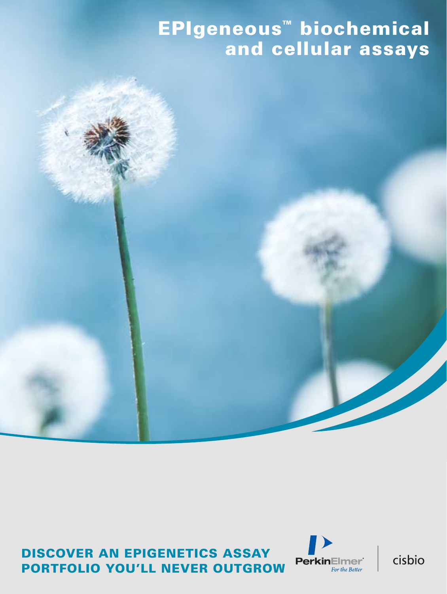# EPIgeneous™ biochemical and cellular assays **"There's no intervalse better than my and cellular assays**



## DISCOVER AN EPIGENETICS ASSAY PORTFOLIO YOU'LL NEVER OUTGROW



cisbio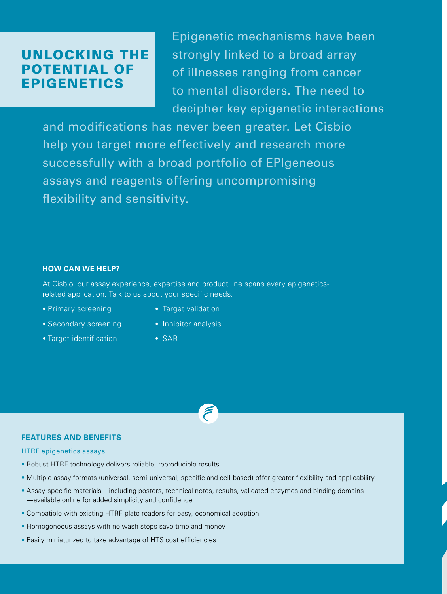## UNLOCKING THE POTENTIAL OF EPIGENETICS

Epigenetic mechanisms have been strongly linked to a broad array of illnesses ranging from cancer to mental disorders. The need to decipher key epigenetic interactions

and modifications has never been greater. Let Cisbio help you target more effectively and research more successfully with a broad portfolio of EPIgeneous assays and reagents offering uncompromising flexibility and sensitivity.

#### **HOW CAN WE HELP?**

At Cisbio, our assay experience, expertise and product line spans every epigeneticsrelated application. Talk to us about your specific needs.

- 
- Secondary screening Inhibitor analysis
- Target identification SAR
- Primary screening Target validation
	-
	-

#### **FEATURES AND BENEFITS**

#### HTRF epigenetics assays

- Robust HTRF technology delivers reliable, reproducible results
- Multiple assay formats (universal, semi-universal, specific and cell-based) offer greater flexibility and applicability
- Assay-specific materials—including posters, technical notes, results, validated enzymes and binding domains —available online for added simplicity and confidence
- Compatible with existing HTRF plate readers for easy, economical adoption
- Homogeneous assays with no wash steps save time and money
- Easily miniaturized to take advantage of HTS cost efficiencies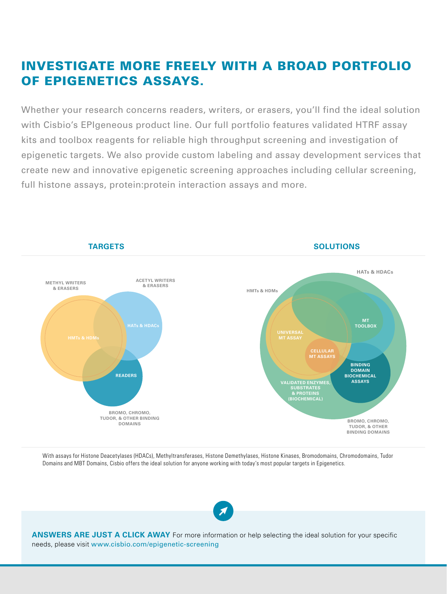# INVESTIGATE MORE FREELY WITH A BROAD PORTFOLIO OF EPIGENETICS ASSAYS.

Whether your research concerns readers, writers, or erasers, you'll find the ideal solution with Cisbio's EPIgeneous product line. Our full portfolio features validated HTRF assay kits and toolbox reagents for reliable high throughput screening and investigation of epigenetic targets. We also provide custom labeling and assay development services that create new and innovative epigenetic screening approaches including cellular screening, full histone assays, protein:protein interaction assays and more.



With assays for Histone Deacetylases (HDACs), Methyltransferases, Histone Demethylases, Histone Kinases, Bromodomains, Chromodomains, Tudor Domains and MBT Domains, Cisbio offers the ideal solution for anyone working with today's most popular targets in Epigenetics.



**ANSWERS ARE JUST A CLICK AWAY** For more information or help selecting the ideal solution for your specific needs, please visit www.cisbio.com/epigenetic-screening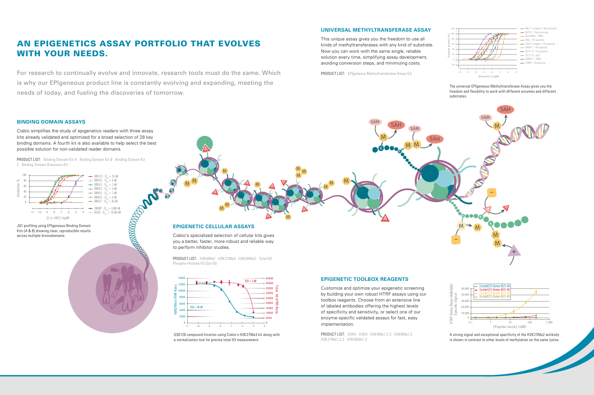M

A

A

A

A

MM $\overline{\mathsf{w}}$ 

M

 $\overline{\mathbf{z}}$ 

M

A

M $M/M$ 

A

A

M

 $\overline{M}$  M

MM

MM M

R

K

SAH

SAM

SAM

SAH

PRODUCT LIST: Binding Domain Kit A Binding Domain Kit B Binding Domain Kit C Binding Domain Discovery Kit

For research to continually evolve and innovate, research tools must do the same. Which is why our EPIgeneous product line is constantly evolving and expanding, meeting the needs of today, and fueling the discoveries of tomorrow.

# AN EPIGENETICS ASSAY PORTFOLIO THAT EVOLVES WITH YOUR NEEDS.

RECONOMING PRO









#### **BINDING DOMAIN ASSAYS**

Cisbio simplifies the study of epigenetics readers with three assay kits already validated and optimized for a broad selection of 28 key binding domains. A fourth kit is also available to help select the best possible solution for non-validated reader domains.

> PRODUCT LIST: H3K4Me2 H3K27Me3 H3K36Me2 Total H3 Phospho-Histone H3 (Ser10)

PRODUCT LIST: EPIgeneous Methyltransferase Assay Kit



Cisbio's specialized selection of cellular kits gives you a better, faster, more robust and reliable way to perform inhibitor studies.

### **UNIVERSAL METHYLTRANSFERASE ASSAY**

This unique assay gives you the freedom to use all kinds of methyltransferases with any kind of substrate. Now you can work with the same single, reliable solution every time, simplifying assay development, avoiding conversion steps, and minimizing costs.

JQ1 profiling using EPIgeneous Binding Domain Kits (A & B) showing clear, reproducible results across multiple bromodomains.

> GSK126 compound titration using Cisbio's H3K27Me3 kit along with a normalization tool for precise total H3 measurement.

The universal EPIgeneous Methyltransferase Assay gives you the freedom and flexibility to work with different enzymes and different substrates.

PRODUCT LIST: H3K4 H3K9 H3K4Me1,2,3 H3K9Me1,2 H3K27Me1,2,3 H3K36Me1,2

### **EPIGENETIC TOOLBOX REAGENTS**

Customize and optimize your epigenetic screening by building your own robust HTRF assays using our toolbox reagents. Choose from an extensive line of labeled antibodies offering the highest levels of specificity and sensitivity, or select one of our enzyme-specific validated assays for fast, easy implementation.

> A strong signal and exceptional specificity of the H3K27Me2 antibody is shown in contrast to other levels of methylation on the same lysine.